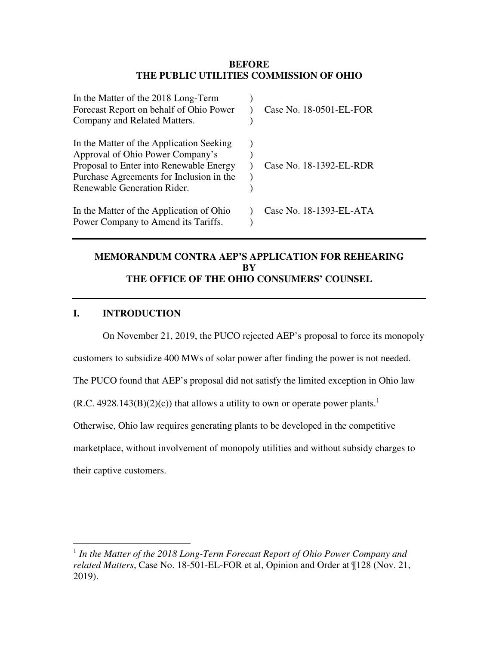### **BEFORE THE PUBLIC UTILITIES COMMISSION OF OHIO**

| In the Matter of the 2018 Long-Term<br>Forecast Report on behalf of Ohio Power | Case No. 18-0501-EL-FOR |
|--------------------------------------------------------------------------------|-------------------------|
| Company and Related Matters.                                                   |                         |
| In the Matter of the Application Seeking                                       |                         |
| Approval of Ohio Power Company's                                               |                         |
| Proposal to Enter into Renewable Energy                                        | Case No. 18-1392-EL-RDR |
| Purchase Agreements for Inclusion in the                                       |                         |
| Renewable Generation Rider.                                                    |                         |
| In the Matter of the Application of Ohio                                       | Case No. 18-1393-EL-ATA |
| Power Company to Amend its Tariffs.                                            |                         |

# **MEMORANDUM CONTRA AEP'S APPLICATION FOR REHEARING BY THE OFFICE OF THE OHIO CONSUMERS' COUNSEL**

## **I. INTRODUCTION**

<u>.</u>

On November 21, 2019, the PUCO rejected AEP's proposal to force its monopoly customers to subsidize 400 MWs of solar power after finding the power is not needed. The PUCO found that AEP's proposal did not satisfy the limited exception in Ohio law  $(R.C. 4928.143(B)(2)(c))$  that allows a utility to own or operate power plants.<sup>1</sup> Otherwise, Ohio law requires generating plants to be developed in the competitive marketplace, without involvement of monopoly utilities and without subsidy charges to their captive customers.

<sup>&</sup>lt;sup>1</sup> In the Matter of the 2018 Long-Term Forecast Report of Ohio Power Company and *related Matters*, Case No. 18-501-EL-FOR et al, Opinion and Order at ¶128 (Nov. 21, 2019).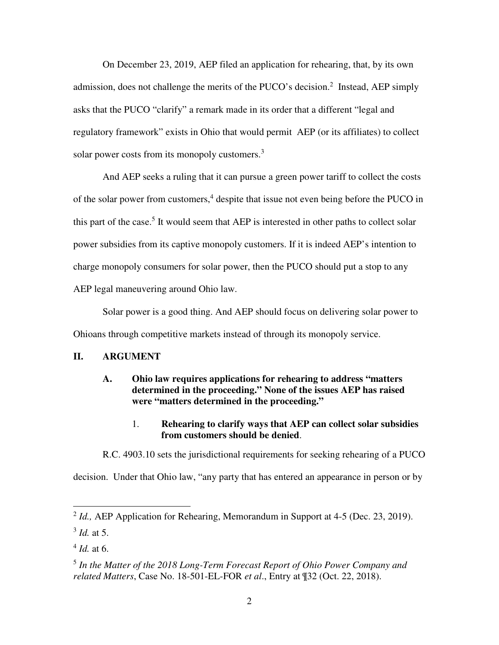On December 23, 2019, AEP filed an application for rehearing, that, by its own admission, does not challenge the merits of the PUCO's decision.<sup>2</sup> Instead, AEP simply asks that the PUCO "clarify" a remark made in its order that a different "legal and regulatory framework" exists in Ohio that would permit AEP (or its affiliates) to collect solar power costs from its monopoly customers.<sup>3</sup>

And AEP seeks a ruling that it can pursue a green power tariff to collect the costs of the solar power from customers,<sup>4</sup> despite that issue not even being before the PUCO in this part of the case.<sup>5</sup> It would seem that AEP is interested in other paths to collect solar power subsidies from its captive monopoly customers. If it is indeed AEP's intention to charge monopoly consumers for solar power, then the PUCO should put a stop to any AEP legal maneuvering around Ohio law.

Solar power is a good thing. And AEP should focus on delivering solar power to Ohioans through competitive markets instead of through its monopoly service.

## **II. ARGUMENT**

## **A. Ohio law requires applications for rehearing to address "matters determined in the proceeding." None of the issues AEP has raised were "matters determined in the proceeding."**

## 1. **Rehearing to clarify ways that AEP can collect solar subsidies from customers should be denied**.

R.C. 4903.10 sets the jurisdictional requirements for seeking rehearing of a PUCO

decision. Under that Ohio law, "any party that has entered an appearance in person or by

-

<sup>&</sup>lt;sup>2</sup> *Id.*, AEP Application for Rehearing, Memorandum in Support at 4-5 (Dec. 23, 2019).

<sup>3</sup> *Id.* at 5.

<sup>4</sup> *Id.* at 6.

<sup>5</sup> *In the Matter of the 2018 Long-Term Forecast Report of Ohio Power Company and related Matters*, Case No. 18-501-EL-FOR *et al*., Entry at ¶32 (Oct. 22, 2018).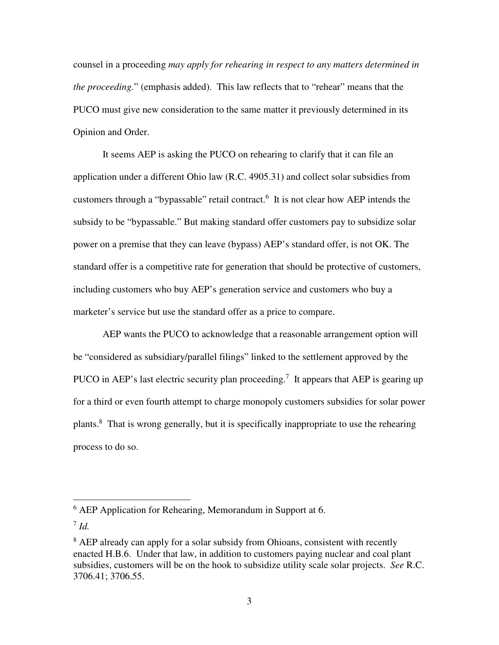counsel in a proceeding *may apply for rehearing in respect to any matters determined in the proceeding.*" (emphasis added). This law reflects that to "rehear" means that the PUCO must give new consideration to the same matter it previously determined in its Opinion and Order.

 It seems AEP is asking the PUCO on rehearing to clarify that it can file an application under a different Ohio law (R.C. 4905.31) and collect solar subsidies from customers through a "bypassable" retail contract.<sup>6</sup> It is not clear how AEP intends the subsidy to be "bypassable." But making standard offer customers pay to subsidize solar power on a premise that they can leave (bypass) AEP's standard offer, is not OK. The standard offer is a competitive rate for generation that should be protective of customers, including customers who buy AEP's generation service and customers who buy a marketer's service but use the standard offer as a price to compare.

AEP wants the PUCO to acknowledge that a reasonable arrangement option will be "considered as subsidiary/parallel filings" linked to the settlement approved by the PUCO in AEP's last electric security plan proceeding.<sup>7</sup> It appears that AEP is gearing up for a third or even fourth attempt to charge monopoly customers subsidies for solar power plants.<sup>8</sup> That is wrong generally, but it is specifically inappropriate to use the rehearing process to do so.

<u>.</u>

<sup>&</sup>lt;sup>6</sup> AEP Application for Rehearing, Memorandum in Support at 6.

<sup>7</sup> *Id.*

<sup>&</sup>lt;sup>8</sup> AEP already can apply for a solar subsidy from Ohioans, consistent with recently enacted H.B.6. Under that law, in addition to customers paying nuclear and coal plant subsidies, customers will be on the hook to subsidize utility scale solar projects. *See* R.C. 3706.41; 3706.55.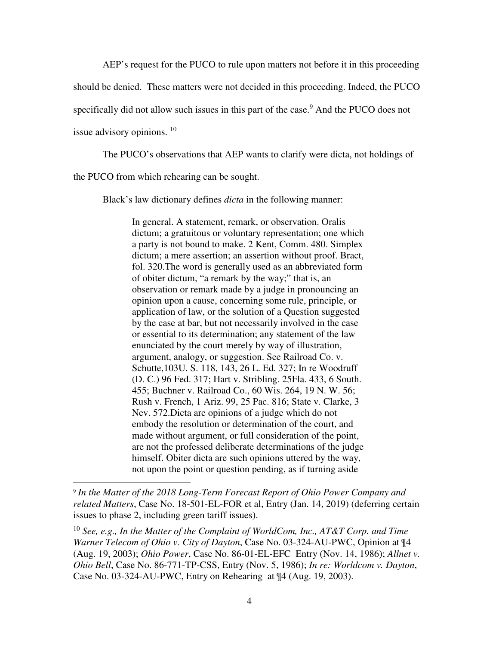AEP's request for the PUCO to rule upon matters not before it in this proceeding

should be denied. These matters were not decided in this proceeding. Indeed, the PUCO

specifically did not allow such issues in this part of the case.<sup>9</sup> And the PUCO does not

issue advisory opinions.  $10$ 

<u>.</u>

The PUCO's observations that AEP wants to clarify were dicta, not holdings of

the PUCO from which rehearing can be sought.

Black's law dictionary defines *dicta* in the following manner:

In general. A statement, remark, or observation. Oralis dictum; a gratuitous or voluntary representation; one which a party is not bound to make. 2 Kent, Comm. 480. Simplex dictum; a mere assertion; an assertion without proof. Bract, fol. 320.The word is generally used as an abbreviated form of obiter dictum, "a remark by the way;" that is, an observation or remark made by a judge in pronouncing an opinion upon a cause, concerning some rule, principle, or application of law, or the solution of a Question suggested by the case at bar, but not necessarily involved in the case or essential to its determination; any statement of the law enunciated by the court merely by way of illustration, argument, analogy, or suggestion. See Railroad Co. v. Schutte,103U. S. 118, 143, 26 L. Ed. 327; In re Woodruff (D. C.) 96 Fed. 317; Hart v. Stribling. 25Fla. 433, 6 South. 455; Buchner v. Railroad Co., 60 Wis. 264, 19 N. W. 56; Rush v. French, 1 Ariz. 99, 25 Pac. 816; State v. Clarke, 3 Nev. 572.Dicta are opinions of a judge which do not embody the resolution or determination of the court, and made without argument, or full consideration of the point, are not the professed deliberate determinations of the judge himself. Obiter dicta are such opinions uttered by the way, not upon the point or question pending, as if turning aside

<sup>9</sup> *In the Matter of the 2018 Long-Term Forecast Report of Ohio Power Company and related Matters*, Case No. 18-501-EL-FOR et al, Entry (Jan. 14, 2019) (deferring certain issues to phase 2, including green tariff issues).

<sup>10</sup> *See, e.g., In the Matter of the Complaint of WorldCom, Inc., AT&T Corp. and Time Warner Telecom of Ohio v. City of Dayton*, Case No. 03-324-AU-PWC, Opinion at ¶4 (Aug. 19, 2003); *Ohio Power*, Case No. 86-01-EL-EFC Entry (Nov. 14, 1986); *Allnet v. Ohio Bell*, Case No. 86-771-TP-CSS, Entry (Nov. 5, 1986); *In re: Worldcom v. Dayton*, Case No. 03-324-AU-PWC, Entry on Rehearing at ¶4 (Aug. 19, 2003).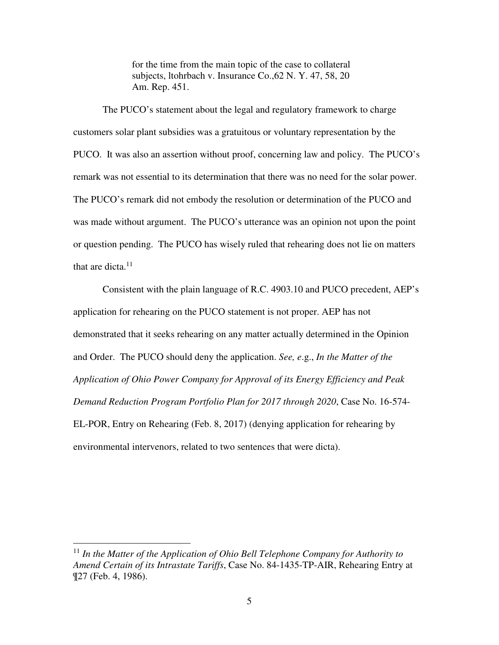for the time from the main topic of the case to collateral subjects, ltohrbach v. Insurance Co.,62 N. Y. 47, 58, 20 Am. Rep. 451.

The PUCO's statement about the legal and regulatory framework to charge customers solar plant subsidies was a gratuitous or voluntary representation by the PUCO. It was also an assertion without proof, concerning law and policy. The PUCO's remark was not essential to its determination that there was no need for the solar power. The PUCO's remark did not embody the resolution or determination of the PUCO and was made without argument. The PUCO's utterance was an opinion not upon the point or question pending. The PUCO has wisely ruled that rehearing does not lie on matters that are dicta. $11$ 

Consistent with the plain language of R.C. 4903.10 and PUCO precedent, AEP's application for rehearing on the PUCO statement is not proper. AEP has not demonstrated that it seeks rehearing on any matter actually determined in the Opinion and Order. The PUCO should deny the application. *See, e*.g., *In the Matter of the Application of Ohio Power Company for Approval of its Energy Efficiency and Peak Demand Reduction Program Portfolio Plan for 2017 through 2020*, Case No. 16-574- EL-POR, Entry on Rehearing (Feb. 8, 2017) (denying application for rehearing by environmental intervenors, related to two sentences that were dicta).

 $\overline{a}$ 

<sup>&</sup>lt;sup>11</sup> In the Matter of the Application of Ohio Bell Telephone Company for Authority to *Amend Certain of its Intrastate Tariffs*, Case No. 84-1435-TP-AIR, Rehearing Entry at ¶27 (Feb. 4, 1986).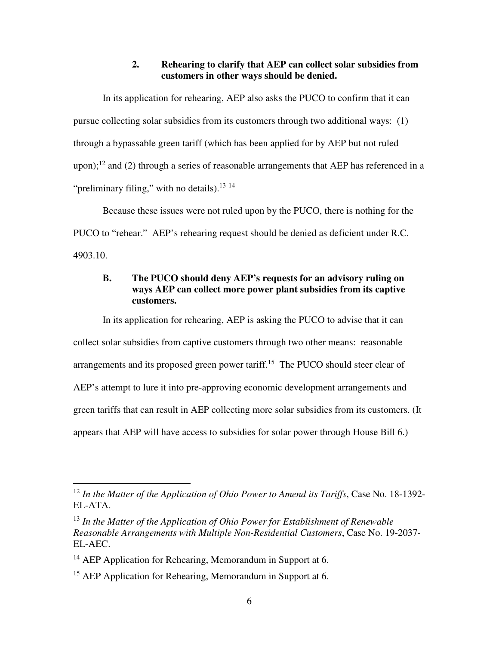## **2. Rehearing to clarify that AEP can collect solar subsidies from customers in other ways should be denied.**

In its application for rehearing, AEP also asks the PUCO to confirm that it can pursue collecting solar subsidies from its customers through two additional ways: (1) through a bypassable green tariff (which has been applied for by AEP but not ruled upon);<sup>12</sup> and (2) through a series of reasonable arrangements that AEP has referenced in a "preliminary filing," with no details). $^{13}$   $^{14}$ 

Because these issues were not ruled upon by the PUCO, there is nothing for the PUCO to "rehear." AEP's rehearing request should be denied as deficient under R.C. 4903.10.

## **B. The PUCO should deny AEP's requests for an advisory ruling on ways AEP can collect more power plant subsidies from its captive customers.**

In its application for rehearing, AEP is asking the PUCO to advise that it can collect solar subsidies from captive customers through two other means: reasonable arrangements and its proposed green power tariff.<sup>15</sup> The PUCO should steer clear of AEP's attempt to lure it into pre-approving economic development arrangements and green tariffs that can result in AEP collecting more solar subsidies from its customers. (It appears that AEP will have access to subsidies for solar power through House Bill 6.)

<u>.</u>

<sup>12</sup> *In the Matter of the Application of Ohio Power to Amend its Tariffs*, Case No. 18-1392- EL-ATA.

<sup>13</sup> *In the Matter of the Application of Ohio Power for Establishment of Renewable Reasonable Arrangements with Multiple Non-Residential Customers*, Case No. 19-2037- EL-AEC.

 $14$  AEP Application for Rehearing, Memorandum in Support at 6.

<sup>&</sup>lt;sup>15</sup> AEP Application for Rehearing, Memorandum in Support at 6.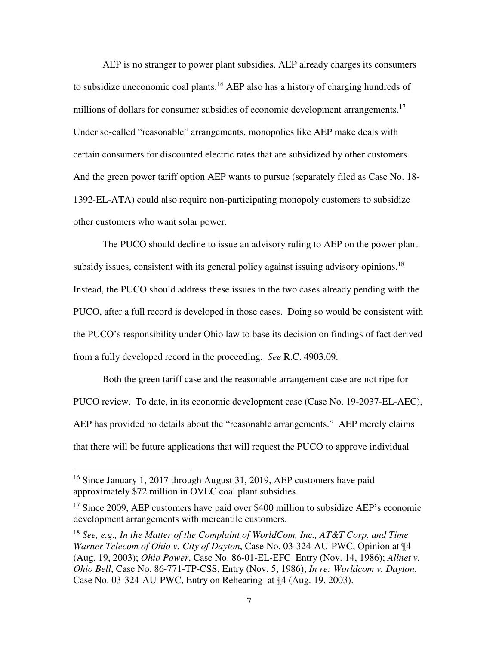AEP is no stranger to power plant subsidies. AEP already charges its consumers to subsidize uneconomic coal plants.<sup>16</sup> AEP also has a history of charging hundreds of millions of dollars for consumer subsidies of economic development arrangements.<sup>17</sup> Under so-called "reasonable" arrangements, monopolies like AEP make deals with certain consumers for discounted electric rates that are subsidized by other customers. And the green power tariff option AEP wants to pursue (separately filed as Case No. 18- 1392-EL-ATA) could also require non-participating monopoly customers to subsidize other customers who want solar power.

The PUCO should decline to issue an advisory ruling to AEP on the power plant subsidy issues, consistent with its general policy against issuing advisory opinions.<sup>18</sup> Instead, the PUCO should address these issues in the two cases already pending with the PUCO, after a full record is developed in those cases. Doing so would be consistent with the PUCO's responsibility under Ohio law to base its decision on findings of fact derived from a fully developed record in the proceeding. *See* R.C. 4903.09.

Both the green tariff case and the reasonable arrangement case are not ripe for PUCO review. To date, in its economic development case (Case No. 19-2037-EL-AEC), AEP has provided no details about the "reasonable arrangements." AEP merely claims that there will be future applications that will request the PUCO to approve individual

<u>.</u>

<sup>&</sup>lt;sup>16</sup> Since January 1, 2017 through August 31, 2019, AEP customers have paid approximately \$72 million in OVEC coal plant subsidies.

<sup>&</sup>lt;sup>17</sup> Since 2009, AEP customers have paid over \$400 million to subsidize AEP's economic development arrangements with mercantile customers.

<sup>18</sup> *See, e.g., In the Matter of the Complaint of WorldCom, Inc., AT&T Corp. and Time Warner Telecom of Ohio v. City of Dayton*, Case No. 03-324-AU-PWC, Opinion at ¶4 (Aug. 19, 2003); *Ohio Power*, Case No. 86-01-EL-EFC Entry (Nov. 14, 1986); *Allnet v. Ohio Bell*, Case No. 86-771-TP-CSS, Entry (Nov. 5, 1986); *In re: Worldcom v. Dayton*, Case No. 03-324-AU-PWC, Entry on Rehearing at ¶4 (Aug. 19, 2003).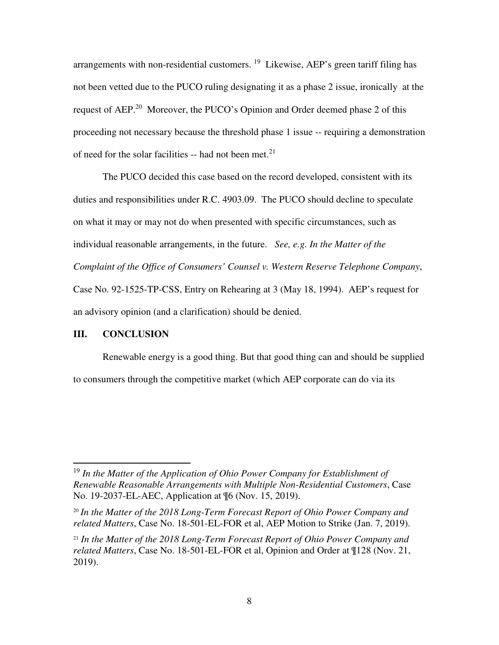arrangements with non-residential customers. <sup>19</sup> Likewise, AEP's green tariff filing has not been vetted due to the PUCO ruling designating it as a phase 2 issue, ironically at the request of AEP.<sup>20</sup> Moreover, the PUCO's Opinion and Order deemed phase 2 of this proceeding not necessary because the threshold phase 1 issue -- requiring a demonstration of need for the solar facilities -- had not been met.<sup>21</sup>

The PUCO decided this case based on the record developed, consistent with its duties and responsibilities under R.C. 4903.09. The PUCO should decline to speculate on what it may or may not do when presented with specific circumstances, such as individual reasonable arrangements, in the future. *See, e.g. In the Matter of the Complaint of the Office of Consumers' Counsel v. Western Reserve Telephone Company*, Case No. 92-1525-TP-CSS, Entry on Rehearing at 3 (May 18, 1994). AEP's request for an advisory opinion (and a clarification) should be denied.

#### **III. CONCLUSION**

-

Renewable energy is a good thing. But that good thing can and should be supplied to consumers through the competitive market (which AEP corporate can do via its

<sup>&</sup>lt;sup>19</sup> In the Matter of the Application of Ohio Power Company for Establishment of *Renewable Reasonable Arrangements with Multiple Non-Residential Customers*, Case No. 19-2037-EL-AEC, Application at ¶6 (Nov. 15, 2019).

<sup>20</sup> *In the Matter of the 2018 Long-Term Forecast Report of Ohio Power Company and related Matters*, Case No. 18-501-EL-FOR et al, AEP Motion to Strike (Jan. 7, 2019).

<sup>21</sup> *In the Matter of the 2018 Long-Term Forecast Report of Ohio Power Company and related Matters*, Case No. 18-501-EL-FOR et al, Opinion and Order at ¶128 (Nov. 21, 2019).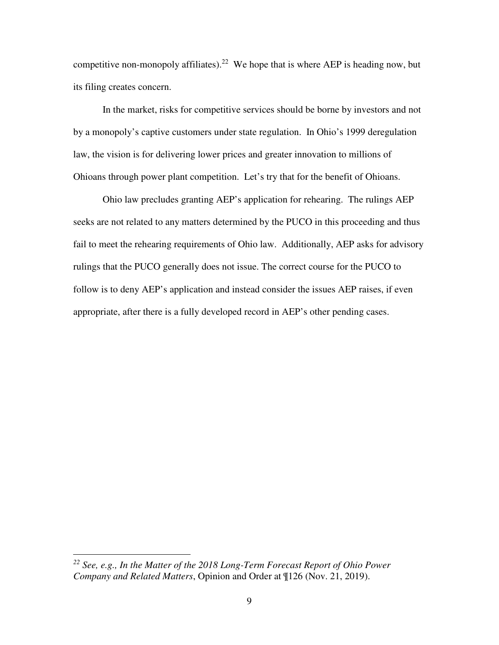competitive non-monopoly affiliates).<sup>22</sup> We hope that is where AEP is heading now, but its filing creates concern.

In the market, risks for competitive services should be borne by investors and not by a monopoly's captive customers under state regulation. In Ohio's 1999 deregulation law, the vision is for delivering lower prices and greater innovation to millions of Ohioans through power plant competition. Let's try that for the benefit of Ohioans.

Ohio law precludes granting AEP's application for rehearing. The rulings AEP seeks are not related to any matters determined by the PUCO in this proceeding and thus fail to meet the rehearing requirements of Ohio law. Additionally, AEP asks for advisory rulings that the PUCO generally does not issue. The correct course for the PUCO to follow is to deny AEP's application and instead consider the issues AEP raises, if even appropriate, after there is a fully developed record in AEP's other pending cases.

 $\overline{a}$ 

*<sup>22</sup> See, e.g., In the Matter of the 2018 Long-Term Forecast Report of Ohio Power Company and Related Matters*, Opinion and Order at ¶126 (Nov. 21, 2019).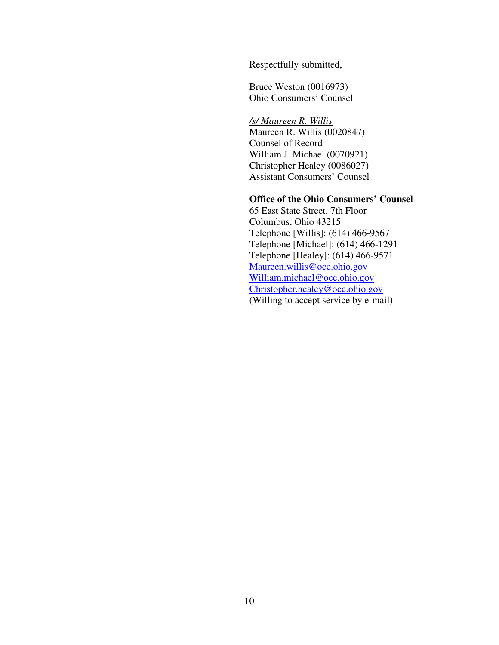Respectfully submitted,

Bruce Weston (0016973) Ohio Consumers' Counsel

*/s/ Maureen R. Willis*  Maureen R. Willis (0020847) Counsel of Record William J. Michael (0070921) Christopher Healey (0086027) Assistant Consumers' Counsel

## **Office of the Ohio Consumers' Counsel**

65 East State Street, 7th Floor Columbus, Ohio 43215 Telephone [Willis]: (614) 466-9567 Telephone [Michael]: (614) 466-1291 Telephone [Healey]: (614) 466-9571 Maureen.willis@occ.ohio.gov William.michael@occ.ohio.gov Christopher.healey@occ.ohio.gov (Willing to accept service by e-mail)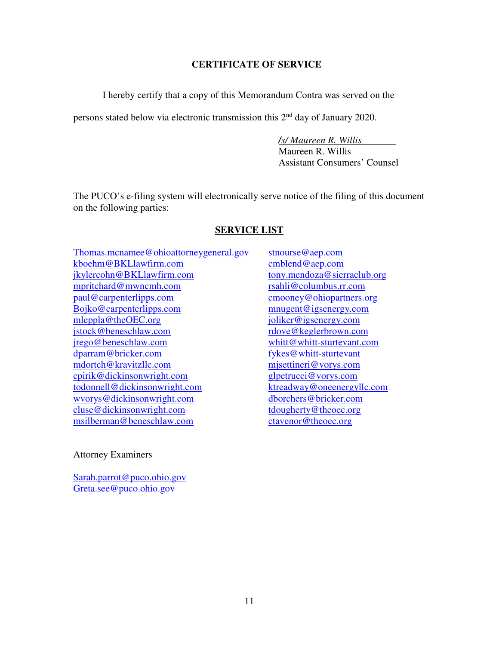### **CERTIFICATE OF SERVICE**

I hereby certify that a copy of this Memorandum Contra was served on the

persons stated below via electronic transmission this 2<sup>nd</sup> day of January 2020.

*/s/ Maureen R. Willis*  Maureen R. Willis Assistant Consumers' Counsel

The PUCO's e-filing system will electronically serve notice of the filing of this document on the following parties:

## **SERVICE LIST**

Thomas.mcnamee@ohioattorneygeneral.gov kboehm@BKLlawfirm.com jkylercohn@BKLlawfirm.com mpritchard@mwncmh.com paul@carpenterlipps.com Bojko@carpenterlipps.com mleppla@theOEC.org jstock@beneschlaw.com jrego@beneschlaw.com dparram@bricker.com mdortch@kravitzllc.com cpirik@dickinsonwright.com todonnell@dickinsonwright.com wvorys@dickinsonwright.com cluse@dickinsonwright.com msilberman@beneschlaw.com

## Attorney Examiners

Sarah.parrot@puco.ohio.gov Greta.see@puco.ohio.gov

stnourse@aep.com cmblend@aep.com tony.mendoza@sierraclub.org rsahli@columbus.rr.com cmooney@ohiopartners.org mnugent@igsenergy.com joliker@igsenergy.com rdove@keglerbrown.com whitt@whitt-sturtevant.com fykes@whitt-sturtevant mjsettineri@vorys.com glpetrucci@vorys.com ktreadway@oneenergyllc.com dborchers@bricker.com tdougherty@theoec.org ctavenor@theoec.org